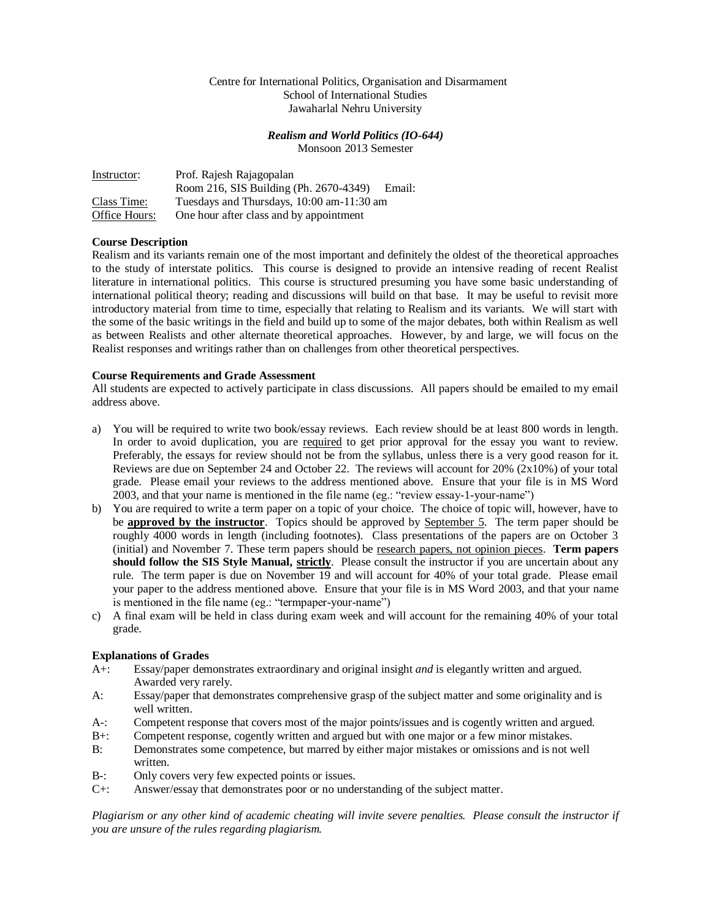# Centre for International Politics, Organisation and Disarmament School of International Studies Jawaharlal Nehru University

# *Realism and World Politics (IO-644)*

Monsoon 2013 Semester

| Instructor:   | Prof. Rajesh Rajagopalan                         |
|---------------|--------------------------------------------------|
|               | Room 216, SIS Building (Ph. 2670-4349)<br>Email: |
| Class Time:   | Tuesdays and Thursdays, 10:00 am-11:30 am        |
| Office Hours: | One hour after class and by appointment          |

# **Course Description**

Realism and its variants remain one of the most important and definitely the oldest of the theoretical approaches to the study of interstate politics. This course is designed to provide an intensive reading of recent Realist literature in international politics. This course is structured presuming you have some basic understanding of international political theory; reading and discussions will build on that base. It may be useful to revisit more introductory material from time to time, especially that relating to Realism and its variants. We will start with the some of the basic writings in the field and build up to some of the major debates, both within Realism as well as between Realists and other alternate theoretical approaches. However, by and large, we will focus on the Realist responses and writings rather than on challenges from other theoretical perspectives.

# **Course Requirements and Grade Assessment**

All students are expected to actively participate in class discussions. All papers should be emailed to my email address above.

- a) You will be required to write two book/essay reviews. Each review should be at least 800 words in length. In order to avoid duplication, you are required to get prior approval for the essay you want to review. Preferably, the essays for review should not be from the syllabus, unless there is a very good reason for it. Reviews are due on September 24 and October 22. The reviews will account for 20% (2x10%) of your total grade. Please email your reviews to the address mentioned above. Ensure that your file is in MS Word 2003, and that your name is mentioned in the file name (eg.: "review essay-1-your-name")
- b) You are required to write a term paper on a topic of your choice. The choice of topic will, however, have to be **approved by the instructor**. Topics should be approved by **September 5.** The term paper should be roughly 4000 words in length (including footnotes). Class presentations of the papers are on October 3 (initial) and November 7. These term papers should be research papers, not opinion pieces. **Term papers should follow the SIS Style Manual, strictly**. Please consult the instructor if you are uncertain about any rule. The term paper is due on November 19 and will account for 40% of your total grade. Please email your paper to the address mentioned above. Ensure that your file is in MS Word 2003, and that your name is mentioned in the file name (eg.: "termpaper-your-name")
- c) A final exam will be held in class during exam week and will account for the remaining 40% of your total grade.

# **Explanations of Grades**

- A+: Essay/paper demonstrates extraordinary and original insight *and* is elegantly written and argued. Awarded very rarely.
- A: Essay/paper that demonstrates comprehensive grasp of the subject matter and some originality and is well written.
- A-: Competent response that covers most of the major points/issues and is cogently written and argued.
- B+: Competent response, cogently written and argued but with one major or a few minor mistakes.
- B: Demonstrates some competence, but marred by either major mistakes or omissions and is not well written.
- B-: Only covers very few expected points or issues.
- C+: Answer/essay that demonstrates poor or no understanding of the subject matter.

*Plagiarism or any other kind of academic cheating will invite severe penalties. Please consult the instructor if you are unsure of the rules regarding plagiarism.*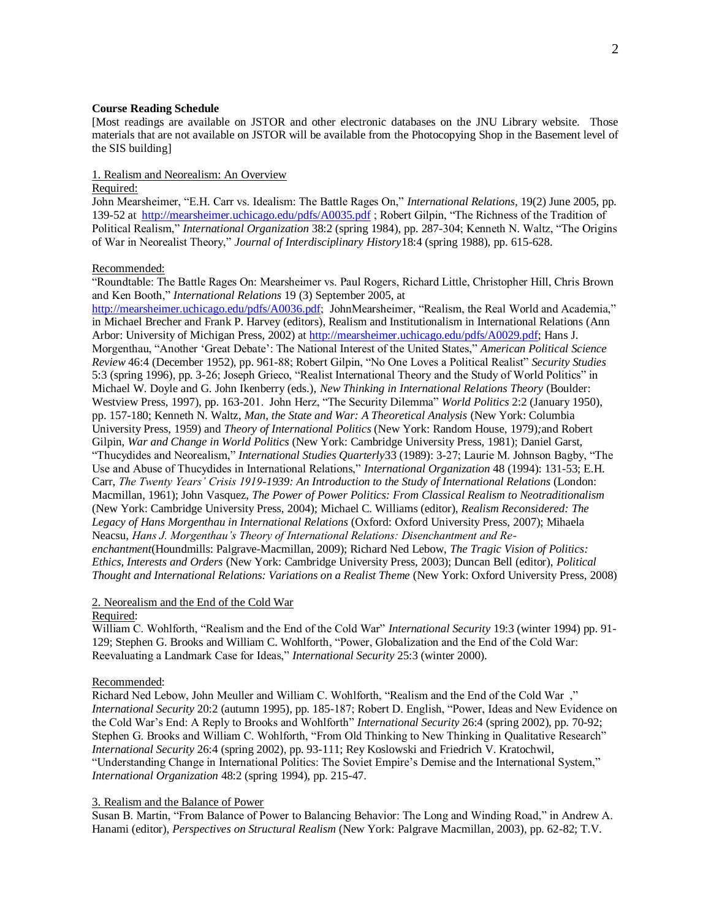# **Course Reading Schedule**

[Most readings are available on JSTOR and other electronic databases on the JNU Library website. Those materials that are not available on JSTOR will be available from the Photocopying Shop in the Basement level of the SIS building]

# 1. Realism and Neorealism: An Overview

# Required:

John Mearsheimer, "E.H. Carr vs. Idealism: The Battle Rages On," *International Relations,* 19(2) June 2005, pp. 139-52 at <http://mearsheimer.uchicago.edu/pdfs/A0035.pdf>; Robert Gilpin, "The Richness of the Tradition of Political Realism," *International Organization* 38:2 (spring 1984), pp. 287-304; Kenneth N. Waltz, "The Origins of War in Neorealist Theory," *Journal of Interdisciplinary History*18:4 (spring 1988), pp. 615-628.

#### Recommended:

"Roundtable: The Battle Rages On: Mearsheimer vs. Paul Rogers, Richard Little, Christopher Hill, Chris Brown and Ken Booth," *International Relations* 19 (3) September 2005, at

[http://mearsheimer.uchicago.edu/pdfs/A0036.pdf;](http://mearsheimer.uchicago.edu/pdfs/A0036.pdf) JohnMearsheimer, "Realism, the Real World and Academia," in Michael Brecher and Frank P. Harvey (editors), Realism and Institutionalism in International Relations (Ann Arbor: University of Michigan Press, 2002) at [http://mearsheimer.uchicago.edu/pdfs/A0029.pdf;](http://mearsheimer.uchicago.edu/pdfs/A0029.pdf) Hans J. Morgenthau, "Another 'Great Debate': The National Interest of the United States," *American Political Science Review* 46:4 (December 1952), pp. 961-88; Robert Gilpin, "No One Loves a Political Realist" *Security Studies*  5:3 (spring 1996), pp. 3-26; Joseph Grieco, "Realist International Theory and the Study of World Politics" in Michael W. Doyle and G. John Ikenberry (eds.), *New Thinking in International Relations Theory* (Boulder: Westview Press, 1997), pp. 163-201. John Herz, "The Security Dilemma" *World Politics* 2:2 (January 1950), pp. 157-180; Kenneth N. Waltz, *Man, the State and War: A Theoretical Analysis* (New York: Columbia University Press, 1959) and *Theory of International Politics* (New York: Random House, 1979)*;*and Robert Gilpin, *War and Change in World Politics* (New York: Cambridge University Press, 1981); Daniel Garst, "Thucydides and Neorealism," *International Studies Quarterly*33 (1989): 3-27; Laurie M. Johnson Bagby, "The Use and Abuse of Thucydides in International Relations," *International Organization* 48 (1994): 131-53; E.H. Carr, *The Twenty Years' Crisis 1919-1939: An Introduction to the Study of International Relations* (London: Macmillan, 1961); John Vasquez, *The Power of Power Politics: From Classical Realism to Neotraditionalism* (New York: Cambridge University Press, 2004); Michael C. Williams (editor), *Realism Reconsidered: The Legacy of Hans Morgenthau in International Relations* (Oxford: Oxford University Press, 2007); Mihaela Neacsu, *Hans J. Morgenthau's Theory of International Relations: Disenchantment and Reenchantment*(Houndmills: Palgrave-Macmillan, 2009); Richard Ned Lebow, *The Tragic Vision of Politics: Ethics, Interests and Orders* (New York: Cambridge University Press, 2003); Duncan Bell (editor), *Political Thought and International Relations: Variations on a Realist Theme* (New York: Oxford University Press, 2008)

#### 2. Neorealism and the End of the Cold War

#### Required:

William C. Wohlforth, "Realism and the End of the Cold War" *International Security* 19:3 (winter 1994) pp. 91- 129; Stephen G. Brooks and William C. Wohlforth, "Power, Globalization and the End of the Cold War: Reevaluating a Landmark Case for Ideas," *International Security* 25:3 (winter 2000).

#### Recommended:

Richard Ned Lebow, John Meuller and William C. Wohlforth, "Realism and the End of the Cold War ," *International Security* 20:2 (autumn 1995), pp. 185-187; Robert D. English, "Power, Ideas and New Evidence on the Cold War's End: A Reply to Brooks and Wohlforth" *International Security* 26:4 (spring 2002), pp. 70-92; Stephen G. Brooks and William C. Wohlforth, "From Old Thinking to New Thinking in Qualitative Research" *International Security* 26:4 (spring 2002), pp. 93-111; Rey Koslowski and Friedrich V. Kratochwil, "Understanding Change in International Politics: The Soviet Empire's Demise and the International System," *International Organization* 48:2 (spring 1994), pp. 215-47.

#### 3. Realism and the Balance of Power

Susan B. Martin, "From Balance of Power to Balancing Behavior: The Long and Winding Road," in Andrew A. Hanami (editor), *Perspectives on Structural Realism* (New York: Palgrave Macmillan, 2003), pp. 62-82; T.V.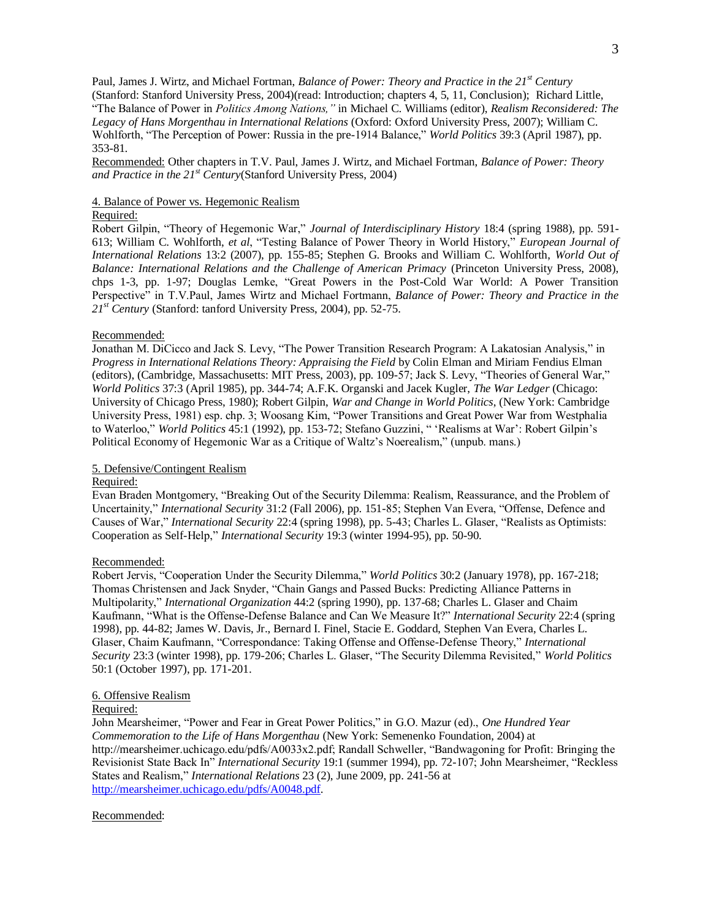Paul, James J. Wirtz, and Michael Fortman, *Balance of Power: Theory and Practice in the 21st Century* (Stanford: Stanford University Press, 2004)(read: Introduction; chapters 4, 5, 11, Conclusion); Richard Little, "The Balance of Power in *Politics Among Nations,"* in Michael C. Williams (editor), *Realism Reconsidered: The Legacy of Hans Morgenthau in International Relations* (Oxford: Oxford University Press, 2007); William C. Wohlforth, "The Perception of Power: Russia in the pre-1914 Balance," *World Politics* 39:3 (April 1987), pp. 353-81.

Recommended: Other chapters in T.V. Paul, James J. Wirtz, and Michael Fortman, *Balance of Power: Theory and Practice in the 21st Century*(Stanford University Press, 2004)

### 4. Balance of Power vs. Hegemonic Realism

#### Required:

Robert Gilpin, "Theory of Hegemonic War," *Journal of Interdisciplinary History* 18:4 (spring 1988), pp. 591- 613; William C. Wohlforth, *et al*, "Testing Balance of Power Theory in World History," *European Journal of International Relations* 13:2 (2007), pp. 155-85; Stephen G. Brooks and William C. Wohlforth, *World Out of Balance: International Relations and the Challenge of American Primacy* (Princeton University Press, 2008), chps 1-3, pp. 1-97; Douglas Lemke, "Great Powers in the Post-Cold War World: A Power Transition Perspective" in T.V.Paul, James Wirtz and Michael Fortmann, *Balance of Power: Theory and Practice in the 21st Century* (Stanford: tanford University Press, 2004), pp. 52-75.

#### Recommended:

Jonathan M. DiCicco and Jack S. Levy, "The Power Transition Research Program: A Lakatosian Analysis," in *Progress in International Relations Theory: Appraising the Field* by Colin Elman and Miriam Fendius Elman (editors), (Cambridge, Massachusetts: MIT Press, 2003), pp. 109-57; Jack S. Levy, "Theories of General War," *World Politics* 37:3 (April 1985), pp. 344-74; A.F.K. Organski and Jacek Kugler, *The War Ledger* (Chicago: University of Chicago Press, 1980); Robert Gilpin, *War and Change in World Politics*, (New York: Cambridge University Press, 1981) esp. chp. 3; Woosang Kim, "Power Transitions and Great Power War from Westphalia to Waterloo," *World Politics* 45:1 (1992), pp. 153-72; Stefano Guzzini, " 'Realisms at War': Robert Gilpin's Political Economy of Hegemonic War as a Critique of Waltz's Noerealism," (unpub. mans.)

### 5. Defensive/Contingent Realism

### Required:

Evan Braden Montgomery, "Breaking Out of the Security Dilemma: Realism, Reassurance, and the Problem of Uncertainity," *International Security* 31:2 (Fall 2006), pp. 151-85; Stephen Van Evera, "Offense, Defence and Causes of War," *International Security* 22:4 (spring 1998), pp. 5-43; Charles L. Glaser, "Realists as Optimists: Cooperation as Self-Help," *International Security* 19:3 (winter 1994-95), pp. 50-90.

### Recommended:

Robert Jervis, "Cooperation Under the Security Dilemma," *World Politics* 30:2 (January 1978), pp. 167-218; Thomas Christensen and Jack Snyder, "Chain Gangs and Passed Bucks: Predicting Alliance Patterns in Multipolarity," *International Organization* 44:2 (spring 1990), pp. 137-68; Charles L. Glaser and Chaim Kaufmann, "What is the Offense-Defense Balance and Can We Measure It?" *International Security* 22:4 (spring 1998), pp. 44-82; James W. Davis, Jr., Bernard I. Finel, Stacie E. Goddard, Stephen Van Evera, Charles L. Glaser, Chaim Kaufmann, "Correspondance: Taking Offense and Offense-Defense Theory," *International Security* 23:3 (winter 1998), pp. 179-206; Charles L. Glaser, "The Security Dilemma Revisited," *World Politics* 50:1 (October 1997), pp. 171-201.

# 6. Offensive Realism

### Required:

John Mearsheimer, "Power and Fear in Great Power Politics," in G.O. Mazur (ed)., *One Hundred Year Commemoration to the Life of Hans Morgenthau* (New York: Semenenko Foundation, 2004) at http://mearsheimer.uchicago.edu/pdfs/A0033x2.pdf; Randall Schweller, "Bandwagoning for Profit: Bringing the Revisionist State Back In" *International Security* 19:1 (summer 1994), pp. 72-107; John Mearsheimer, "Reckless States and Realism," *International Relations* 23 (2), June 2009, pp. 241-56 at http://mearsheimer.uchicago.edu/pdfs/A0048.pdf.

#### Recommended: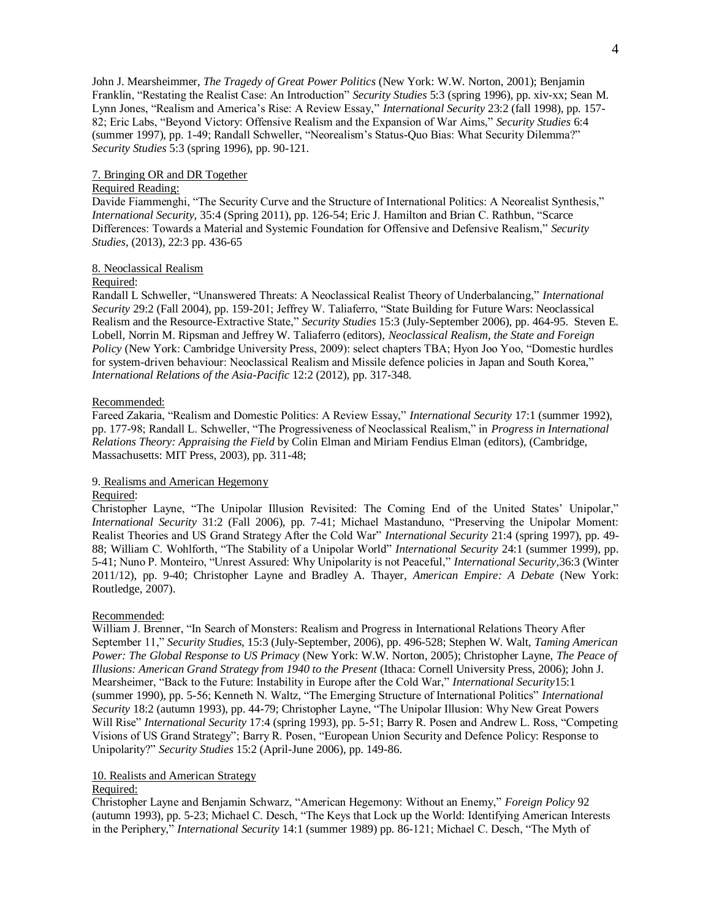John J. Mearsheimmer, *The Tragedy of Great Power Politics* (New York: W.W. Norton, 2001); Benjamin Franklin, "Restating the Realist Case: An Introduction" *Security Studies* 5:3 (spring 1996), pp. xiv-xx; Sean M. Lynn Jones, "Realism and America's Rise: A Review Essay," *International Security* 23:2 (fall 1998), pp. 157- 82; Eric Labs, "Beyond Victory: Offensive Realism and the Expansion of War Aims," *Security Studies* 6:4 (summer 1997), pp. 1-49; Randall Schweller, "Neorealism's Status-Quo Bias: What Security Dilemma?" *Security Studies* 5:3 (spring 1996), pp. 90-121.

# 7. Bringing OR and DR Together

# Required Reading:

Davide Fiammenghi, "The Security Curve and the Structure of International Politics: A Neorealist Synthesis," *International Security,* 35:4 (Spring 2011), pp. 126-54; Eric J. Hamilton and Brian C. Rathbun, "Scarce Differences: Towards a Material and Systemic Foundation for Offensive and Defensive Realism," *Security Studies*, (2013), 22:3 pp. 436-65

#### 8. Neoclassical Realism

# Required:

Randall L Schweller, "Unanswered Threats: A Neoclassical Realist Theory of Underbalancing," *International Security* 29:2 (Fall 2004), pp. 159-201; Jeffrey W. Taliaferro, "State Building for Future Wars: Neoclassical Realism and the Resource-Extractive State," *Security Studies* 15:3 (July-September 2006), pp. 464-95. Steven E. Lobell, Norrin M. Ripsman and Jeffrey W. Taliaferro (editors), *Neoclassical Realism, the State and Foreign Policy* (New York: Cambridge University Press, 2009): select chapters TBA; Hyon Joo Yoo, "Domestic hurdles for system-driven behaviour: Neoclassical Realism and Missile defence policies in Japan and South Korea," *International Relations of the Asia-Pacific* 12:2 (2012), pp. 317-348.

# Recommended:

Fareed Zakaria, "Realism and Domestic Politics: A Review Essay," *International Security* 17:1 (summer 1992), pp. 177-98; Randall L. Schweller, "The Progressiveness of Neoclassical Realism," in *Progress in International Relations Theory: Appraising the Field* by Colin Elman and Miriam Fendius Elman (editors), (Cambridge, Massachusetts: MIT Press, 2003), pp. 311-48;

### 9. Realisms and American Hegemony

#### Required:

Christopher Layne, "The Unipolar Illusion Revisited: The Coming End of the United States' Unipolar," *International Security* 31:2 (Fall 2006), pp. 7-41; Michael Mastanduno, "Preserving the Unipolar Moment: Realist Theories and US Grand Strategy After the Cold War" *International Security* 21:4 (spring 1997), pp. 49- 88; William C. Wohlforth, "The Stability of a Unipolar World" *International Security* 24:1 (summer 1999), pp. 5-41; Nuno P. Monteiro, "Unrest Assured: Why Unipolarity is not Peaceful," *International Security,*36:3 (Winter 2011/12), pp. 9-40; Christopher Layne and Bradley A. Thayer, *American Empire: A Debate* (New York: Routledge, 2007).

# Recommended:

William J. Brenner, "In Search of Monsters: Realism and Progress in International Relations Theory After September 11," *Security Studies*, 15:3 (July-September, 2006), pp. 496-528; Stephen W. Walt, *Taming American Power: The Global Response to US Primacy* (New York: W.W. Norton, 2005); Christopher Layne, *The Peace of Illusions: American Grand Strategy from 1940 to the Present* (Ithaca: Cornell University Press, 2006); John J. Mearsheimer, "Back to the Future: Instability in Europe after the Cold War," *International Security*15:1 (summer 1990), pp. 5-56; Kenneth N. Waltz, "The Emerging Structure of International Politics" *International Security* 18:2 (autumn 1993), pp. 44-79; Christopher Layne, "The Unipolar Illusion: Why New Great Powers Will Rise" *International Security* 17:4 (spring 1993), pp. 5-51; Barry R. Posen and Andrew L. Ross, "Competing Visions of US Grand Strategy"; Barry R. Posen, "European Union Security and Defence Policy: Response to Unipolarity?" *Security Studies* 15:2 (April-June 2006), pp. 149-86.

# 10. Realists and American Strategy

# Required:

Christopher Layne and Benjamin Schwarz, "American Hegemony: Without an Enemy," *Foreign Policy* 92 (autumn 1993), pp. 5-23; Michael C. Desch, "The Keys that Lock up the World: Identifying American Interests in the Periphery," *International Security* 14:1 (summer 1989) pp. 86-121; Michael C. Desch, "The Myth of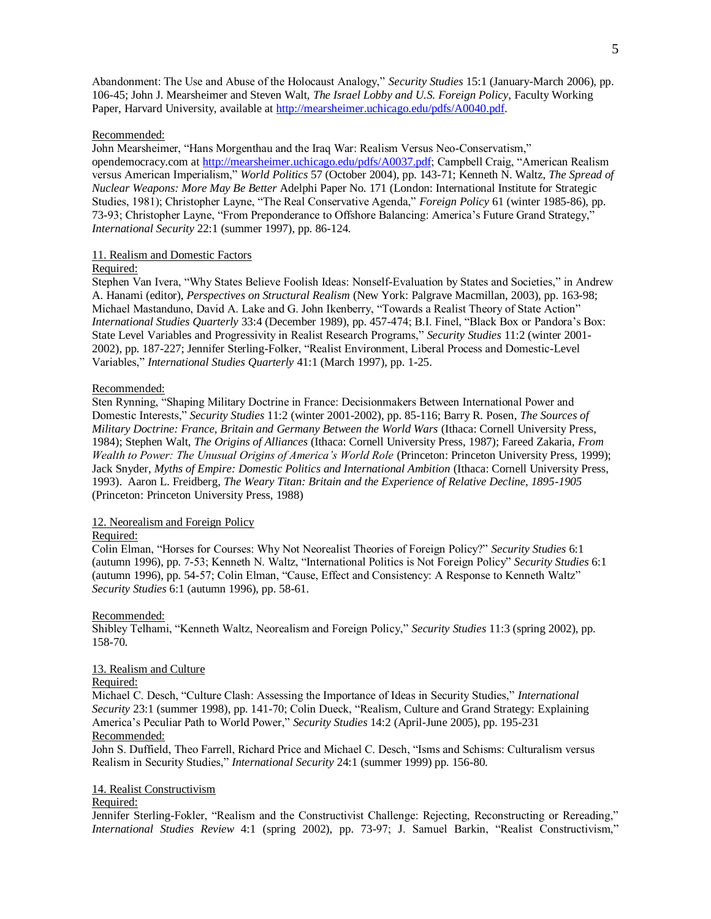Abandonment: The Use and Abuse of the Holocaust Analogy," *Security Studies* 15:1 (January-March 2006), pp. 106-45; John J. Mearsheimer and Steven Walt, *The Israel Lobby and U.S. Foreign Policy*, Faculty Working Paper, Harvard University, available at [http://mearsheimer.uchicago.edu/pdfs/A0040.pdf.](http://mearsheimer.uchicago.edu/pdfs/A0040.pdf)

### Recommended:

John Mearsheimer, "Hans Morgenthau and the Iraq War: Realism Versus Neo-Conservatism," opendemocracy.com at [http://mearsheimer.uchicago.edu/pdfs/A0037.pdf;](http://mearsheimer.uchicago.edu/pdfs/A0037.pdf) Campbell Craig, "American Realism versus American Imperialism," *World Politics* 57 (October 2004), pp. 143-71; Kenneth N. Waltz, *The Spread of Nuclear Weapons: More May Be Better* Adelphi Paper No. 171 (London: International Institute for Strategic Studies, 1981); Christopher Layne, "The Real Conservative Agenda," *Foreign Policy* 61 (winter 1985-86), pp. 73-93; Christopher Layne, "From Preponderance to Offshore Balancing: America's Future Grand Strategy," *International Security* 22:1 (summer 1997), pp. 86-124.

# 11. Realism and Domestic Factors

# Required:

Stephen Van Ivera, "Why States Believe Foolish Ideas: Nonself-Evaluation by States and Societies," in Andrew A. Hanami (editor), *Perspectives on Structural Realism* (New York: Palgrave Macmillan, 2003), pp. 163-98; Michael Mastanduno, David A. Lake and G. John Ikenberry, "Towards a Realist Theory of State Action" *International Studies Quarterly* 33:4 (December 1989), pp. 457-474; B.I. Finel, "Black Box or Pandora's Box: State Level Variables and Progressivity in Realist Research Programs," *Security Studies* 11:2 (winter 2001- 2002), pp. 187-227; Jennifer Sterling-Folker, "Realist Environment, Liberal Process and Domestic-Level Variables," *International Studies Quarterly* 41:1 (March 1997), pp. 1-25.

### Recommended:

Sten Rynning, "Shaping Military Doctrine in France: Decisionmakers Between International Power and Domestic Interests," *Security Studies* 11:2 (winter 2001-2002), pp. 85-116; Barry R. Posen, *The Sources of Military Doctrine: France, Britain and Germany Between the World Wars* (Ithaca: Cornell University Press, 1984); Stephen Walt, *The Origins of Alliances* (Ithaca: Cornell University Press, 1987); Fareed Zakaria, *From Wealth to Power: The Unusual Origins of America's World Role* (Princeton: Princeton University Press, 1999); Jack Snyder, *Myths of Empire: Domestic Politics and International Ambition* (Ithaca: Cornell University Press, 1993). Aaron L. Freidberg, *The Weary Titan: Britain and the Experience of Relative Decline, 1895-1905*  (Princeton: Princeton University Press, 1988)

### 12. Neorealism and Foreign Policy

#### Required:

Colin Elman, "Horses for Courses: Why Not Neorealist Theories of Foreign Policy?" *Security Studies* 6:1 (autumn 1996), pp. 7-53; Kenneth N. Waltz, "International Politics is Not Foreign Policy" *Security Studies* 6:1 (autumn 1996), pp. 54-57; Colin Elman, "Cause, Effect and Consistency: A Response to Kenneth Waltz" *Security Studies* 6:1 (autumn 1996), pp. 58-61.

#### Recommended:

Shibley Telhami, "Kenneth Waltz, Neorealism and Foreign Policy," *Security Studies* 11:3 (spring 2002), pp. 158-70.

# 13. Realism and Culture

### Required:

Michael C. Desch, "Culture Clash: Assessing the Importance of Ideas in Security Studies," *International Security* 23:1 (summer 1998), pp. 141-70; Colin Dueck, "Realism, Culture and Grand Strategy: Explaining America's Peculiar Path to World Power," *Security Studies* 14:2 (April-June 2005), pp. 195-231 Recommended:

John S. Duffield, Theo Farrell, Richard Price and Michael C. Desch, "Isms and Schisms: Culturalism versus Realism in Security Studies," *International Security* 24:1 (summer 1999) pp. 156-80.

#### 14. Realist Constructivism

#### Required:

Jennifer Sterling-Fokler, "Realism and the Constructivist Challenge: Rejecting, Reconstructing or Rereading," *International Studies Review* 4:1 (spring 2002), pp. 73-97; J. Samuel Barkin, "Realist Constructivism,"